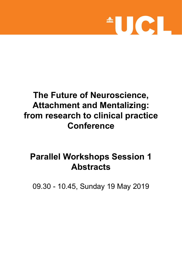

## **The Future of Neuroscience, Attachment and Mentalizing: from research to clinical practice Conference**

# **Parallel Workshops Session 1 Abstracts**

09.30 - 10.45, Sunday 19 May 2019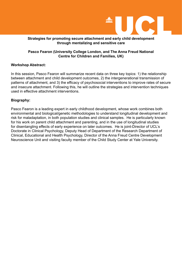

#### **Strategies for promoting secure attachment and early child development through mentalizing and sensitive care**

#### **Pasco Fearon (University College London, and The Anna Freud National Centre for Children and Families, UK)**

#### **Workshop Abstract:**

In this session, Pasco Fearon will summarize recent data on three key topics: 1) the relationship between attachment and child development outcomes, 2) the intergenerational transmission of patterns of attachment, and 3) the efficacy of psychosocial interventions to improve rates of secure and insecure attachment. Following this, he will outline the strategies and intervention techniques used in effective attachment interventions.

#### **Biography:**

Pasco Fearon is a leading expert in early childhood development, whose work combines both environmental and biological/genetic methodologies to understand longitudinal development and risk for maladaptation, in both population studies and clinical samples. He is particularly known for his work on parent child attachment and parenting, and in the use of longitudinal studies for disentangling effects of early experience on later outcomes. He is joint-Director of UCL's Doctorate in Clinical Psychology, Deputy Head of Department of the Research Department of Clinical, Educational and Health Psychology, Director of the Anna Freud Centre Development Neuroscience Unit and visiting faculty member of the Child Study Center at Yale University.